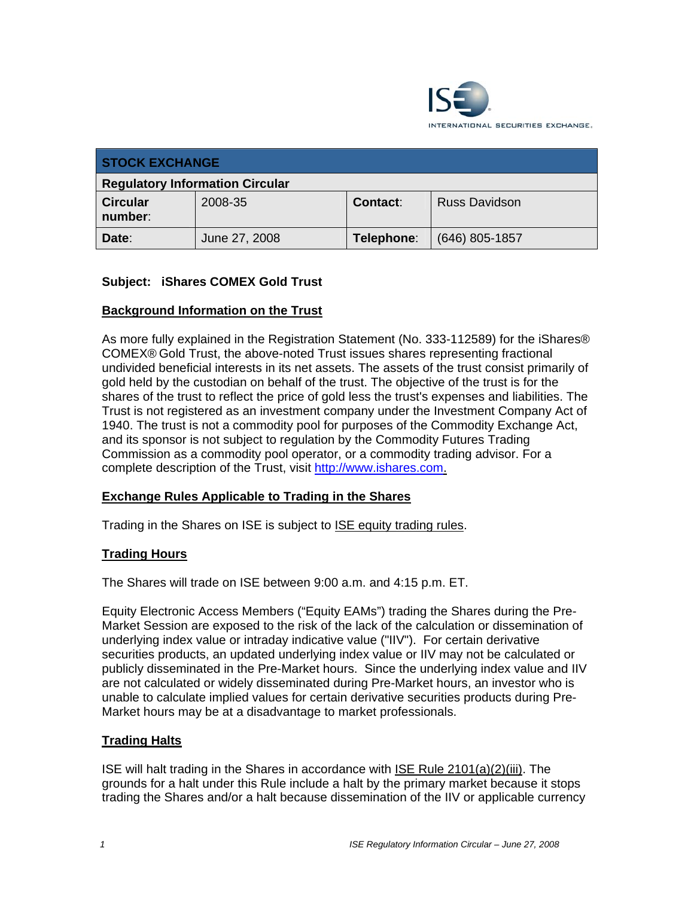

| <b>STOCK EXCHANGE</b>                  |               |                 |                      |
|----------------------------------------|---------------|-----------------|----------------------|
| <b>Regulatory Information Circular</b> |               |                 |                      |
| <b>Circular</b><br>number:             | 2008-35       | <b>Contact:</b> | <b>Russ Davidson</b> |
| Date:                                  | June 27, 2008 | Telephone:      | $(646)$ 805-1857     |

## **Subject: iShares COMEX Gold Trust**

### **Background Information on the Trust**

As more fully explained in the Registration Statement (No. 333-112589) for the iShares® COMEX® Gold Trust, the above-noted Trust issues shares representing fractional undivided beneficial interests in its net assets. The assets of the trust consist primarily of gold held by the custodian on behalf of the trust. The objective of the trust is for the shares of the trust to reflect the price of gold less the trust's expenses and liabilities. The Trust is not registered as an investment company under the Investment Company Act of 1940. The trust is not a commodity pool for purposes of the Commodity Exchange Act, and its sponsor is not subject to regulation by the Commodity Futures Trading Commission as a commodity pool operator, or a commodity trading advisor. For a complete description of the Trust, visit http://www.ishares.com.

### **Exchange Rules Applicable to Trading in the Shares**

Trading in the Shares on ISE is subject to ISE equity trading rules.

### **Trading Hours**

The Shares will trade on ISE between 9:00 a.m. and 4:15 p.m. ET.

Equity Electronic Access Members ("Equity EAMs") trading the Shares during the Pre-Market Session are exposed to the risk of the lack of the calculation or dissemination of underlying index value or intraday indicative value ("IIV"). For certain derivative securities products, an updated underlying index value or IIV may not be calculated or publicly disseminated in the Pre-Market hours. Since the underlying index value and IIV are not calculated or widely disseminated during Pre-Market hours, an investor who is unable to calculate implied values for certain derivative securities products during Pre-Market hours may be at a disadvantage to market professionals.

### **Trading Halts**

ISE will halt trading in the Shares in accordance with ISE Rule 2101(a)(2)(iii). The grounds for a halt under this Rule include a halt by the primary market because it stops trading the Shares and/or a halt because dissemination of the IIV or applicable currency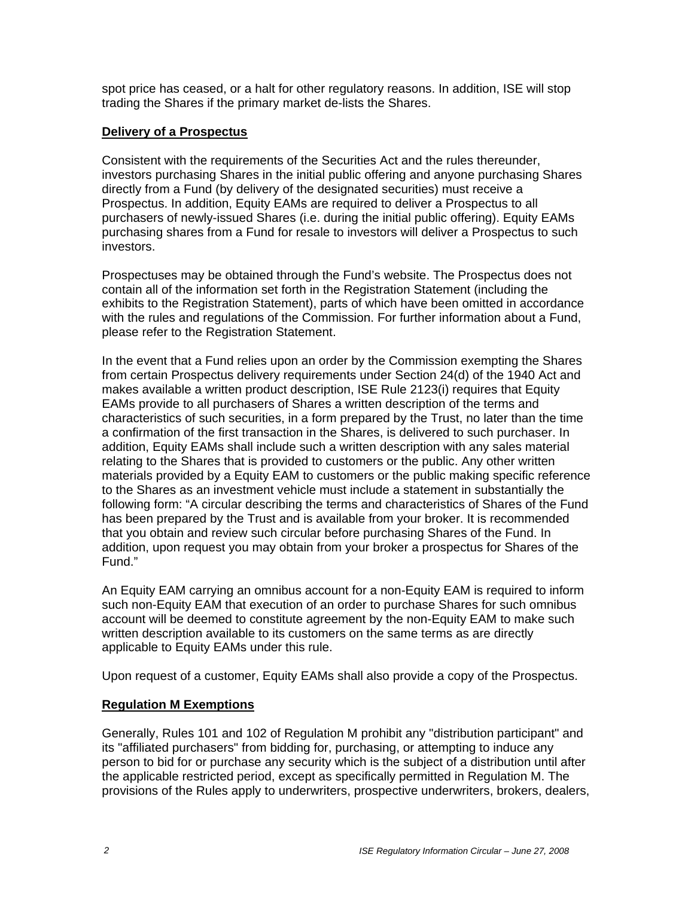spot price has ceased, or a halt for other regulatory reasons. In addition, ISE will stop trading the Shares if the primary market de-lists the Shares.

#### **Delivery of a Prospectus**

Consistent with the requirements of the Securities Act and the rules thereunder, investors purchasing Shares in the initial public offering and anyone purchasing Shares directly from a Fund (by delivery of the designated securities) must receive a Prospectus. In addition, Equity EAMs are required to deliver a Prospectus to all purchasers of newly-issued Shares (i.e. during the initial public offering). Equity EAMs purchasing shares from a Fund for resale to investors will deliver a Prospectus to such investors.

Prospectuses may be obtained through the Fund's website. The Prospectus does not contain all of the information set forth in the Registration Statement (including the exhibits to the Registration Statement), parts of which have been omitted in accordance with the rules and regulations of the Commission. For further information about a Fund, please refer to the Registration Statement.

In the event that a Fund relies upon an order by the Commission exempting the Shares from certain Prospectus delivery requirements under Section 24(d) of the 1940 Act and makes available a written product description, ISE Rule 2123(i) requires that Equity EAMs provide to all purchasers of Shares a written description of the terms and characteristics of such securities, in a form prepared by the Trust, no later than the time a confirmation of the first transaction in the Shares, is delivered to such purchaser. In addition, Equity EAMs shall include such a written description with any sales material relating to the Shares that is provided to customers or the public. Any other written materials provided by a Equity EAM to customers or the public making specific reference to the Shares as an investment vehicle must include a statement in substantially the following form: "A circular describing the terms and characteristics of Shares of the Fund has been prepared by the Trust and is available from your broker. It is recommended that you obtain and review such circular before purchasing Shares of the Fund. In addition, upon request you may obtain from your broker a prospectus for Shares of the Fund."

An Equity EAM carrying an omnibus account for a non-Equity EAM is required to inform such non-Equity EAM that execution of an order to purchase Shares for such omnibus account will be deemed to constitute agreement by the non-Equity EAM to make such written description available to its customers on the same terms as are directly applicable to Equity EAMs under this rule.

Upon request of a customer, Equity EAMs shall also provide a copy of the Prospectus.

### **Regulation M Exemptions**

Generally, Rules 101 and 102 of Regulation M prohibit any "distribution participant" and its "affiliated purchasers" from bidding for, purchasing, or attempting to induce any person to bid for or purchase any security which is the subject of a distribution until after the applicable restricted period, except as specifically permitted in Regulation M. The provisions of the Rules apply to underwriters, prospective underwriters, brokers, dealers,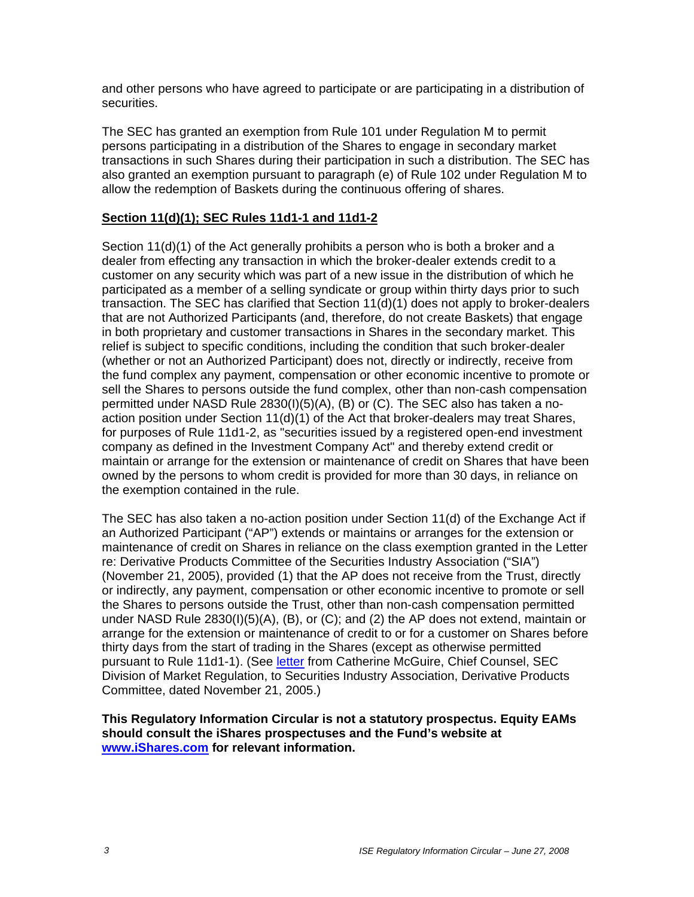and other persons who have agreed to participate or are participating in a distribution of securities.

The SEC has granted an exemption from Rule 101 under Regulation M to permit persons participating in a distribution of the Shares to engage in secondary market transactions in such Shares during their participation in such a distribution. The SEC has also granted an exemption pursuant to paragraph (e) of Rule 102 under Regulation M to allow the redemption of Baskets during the continuous offering of shares.

### **Section 11(d)(1); SEC Rules 11d1-1 and 11d1-2**

Section 11(d)(1) of the Act generally prohibits a person who is both a broker and a dealer from effecting any transaction in which the broker-dealer extends credit to a customer on any security which was part of a new issue in the distribution of which he participated as a member of a selling syndicate or group within thirty days prior to such transaction. The SEC has clarified that Section 11(d)(1) does not apply to broker-dealers that are not Authorized Participants (and, therefore, do not create Baskets) that engage in both proprietary and customer transactions in Shares in the secondary market. This relief is subject to specific conditions, including the condition that such broker-dealer (whether or not an Authorized Participant) does not, directly or indirectly, receive from the fund complex any payment, compensation or other economic incentive to promote or sell the Shares to persons outside the fund complex, other than non-cash compensation permitted under NASD Rule 2830(I)(5)(A), (B) or (C). The SEC also has taken a noaction position under Section 11(d)(1) of the Act that broker-dealers may treat Shares, for purposes of Rule 11d1-2, as "securities issued by a registered open-end investment company as defined in the Investment Company Act" and thereby extend credit or maintain or arrange for the extension or maintenance of credit on Shares that have been owned by the persons to whom credit is provided for more than 30 days, in reliance on the exemption contained in the rule.

The SEC has also taken a no-action position under Section 11(d) of the Exchange Act if an Authorized Participant ("AP") extends or maintains or arranges for the extension or maintenance of credit on Shares in reliance on the class exemption granted in the Letter re: Derivative Products Committee of the Securities Industry Association ("SIA") (November 21, 2005), provided (1) that the AP does not receive from the Trust, directly or indirectly, any payment, compensation or other economic incentive to promote or sell the Shares to persons outside the Trust, other than non-cash compensation permitted under NASD Rule 2830(I)(5)(A), (B), or (C); and (2) the AP does not extend, maintain or arrange for the extension or maintenance of credit to or for a customer on Shares before thirty days from the start of trading in the Shares (except as otherwise permitted pursuant to Rule 11d1-1). (See letter from Catherine McGuire, Chief Counsel, SEC Division of Market Regulation, to Securities Industry Association, Derivative Products Committee, dated November 21, 2005.)

**This Regulatory Information Circular is not a statutory prospectus. Equity EAMs should consult the iShares prospectuses and the Fund's website at www.iShares.com for relevant information.**